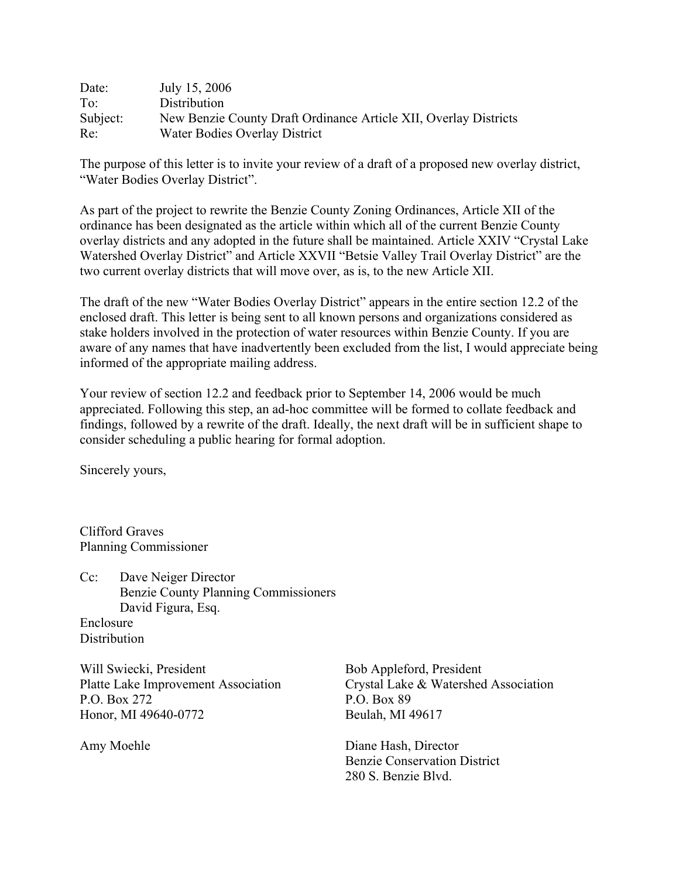| Date:        | July 15, 2006                                                    |
|--------------|------------------------------------------------------------------|
| $To^{\cdot}$ | Distribution                                                     |
| Subject:     | New Benzie County Draft Ordinance Article XII, Overlay Districts |
| Re:          | Water Bodies Overlay District                                    |

The purpose of this letter is to invite your review of a draft of a proposed new overlay district, "Water Bodies Overlay District".

As part of the project to rewrite the Benzie County Zoning Ordinances, Article XII of the ordinance has been designated as the article within which all of the current Benzie County overlay districts and any adopted in the future shall be maintained. Article XXIV "Crystal Lake Watershed Overlay District" and Article XXVII "Betsie Valley Trail Overlay District" are the two current overlay districts that will move over, as is, to the new Article XII.

The draft of the new "Water Bodies Overlay District" appears in the entire section 12.2 of the enclosed draft. This letter is being sent to all known persons and organizations considered as stake holders involved in the protection of water resources within Benzie County. If you are aware of any names that have inadvertently been excluded from the list, I would appreciate being informed of the appropriate mailing address.

Your review of section 12.2 and feedback prior to September 14, 2006 would be much appreciated. Following this step, an ad-hoc committee will be formed to collate feedback and findings, followed by a rewrite of the draft. Ideally, the next draft will be in sufficient shape to consider scheduling a public hearing for formal adoption.

Sincerely yours,

Clifford Graves Planning Commissioner

Cc: Dave Neiger Director Benzie County Planning Commissioners David Figura, Esq. Enclosure **Distribution** 

Will Swiecki, President Platte Lake Improvement Association P.O. Box 272 Honor, MI 49640-0772

Bob Appleford, President Crystal Lake & Watershed Association P.O. Box 89 Beulah, MI 49617

Amy Moehle Diane Hash, Director Benzie Conservation District 280 S. Benzie Blvd.